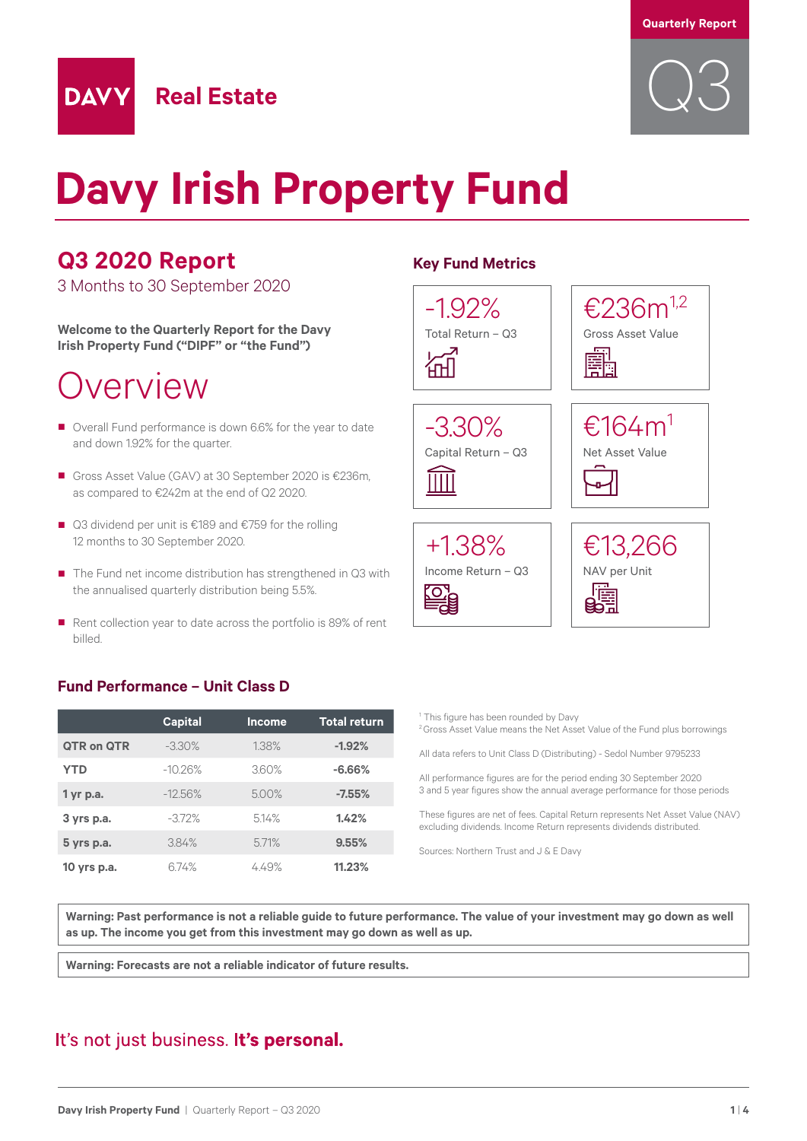

# **Davy Irish Property Fund**

### **Q3 2020 Report**

**DAVY** 

3 Months to 30 September 2020

**Welcome to the Quarterly Report for the Davy Irish Property Fund ("DIPF" or "the Fund")**

### Overview

■ Overall Fund performance is down 6.6% for the year to date and down 1.92% for the quarter.

**Real Estate**

- Gross Asset Value (GAV) at 30 September 2020 is €236m, as compared to €242m at the end of Q2 2020.
- Q3 dividend per unit is €189 and €759 for the rolling 12 months to 30 September 2020.
- The Fund net income distribution has strengthened in Q3 with the annualised quarterly distribution being 5.5%.
- Rent collection year to date across the portfolio is 89% of rent billed.

### **Fund Performance – Unit Class D**

|                   | <b>Capital</b> | <b>Income</b> | <b>Total return</b> |
|-------------------|----------------|---------------|---------------------|
| <b>QTR on QTR</b> | $-3.30%$       | 1.38%         | $-1.92%$            |
| <b>YTD</b>        | $-10.26%$      | 3.60%         | $-6.66%$            |
| $1$ yr p.a.       | $-12.56%$      | 500%          | $-7.55%$            |
| 3 yrs p.a.        | $-3.72%$       | 5.14%         | 1.42%               |
| 5 yrs p.a.        | 3.84%          | 571%          | 9.55%               |
| 10 yrs p.a.       | 674%           | 4.49%         | 11.23%              |

### **Key Fund Metrics**



<sup>1</sup> This figure has been rounded by Davy

**Warning: Past performance is not a reliable guide to future performance. The value of your investment may go down as well as up. The income you get from this investment may go down as well as up.**

**Warning: Forecasts are not a reliable indicator of future results.**

### It's not just business. It's personal.

<sup>&</sup>lt;sup>2</sup> Gross Asset Value means the Net Asset Value of the Fund plus borrowings All data refers to Unit Class D (Distributing) - Sedol Number 9795233 All performance figures are for the period ending 30 September 2020 3 and 5 year figures show the annual average performance for those periods These figures are net of fees. Capital Return represents Net Asset Value (NAV) excluding dividends. Income Return represents dividends distributed. Sources: Northern Trust and J & E Davy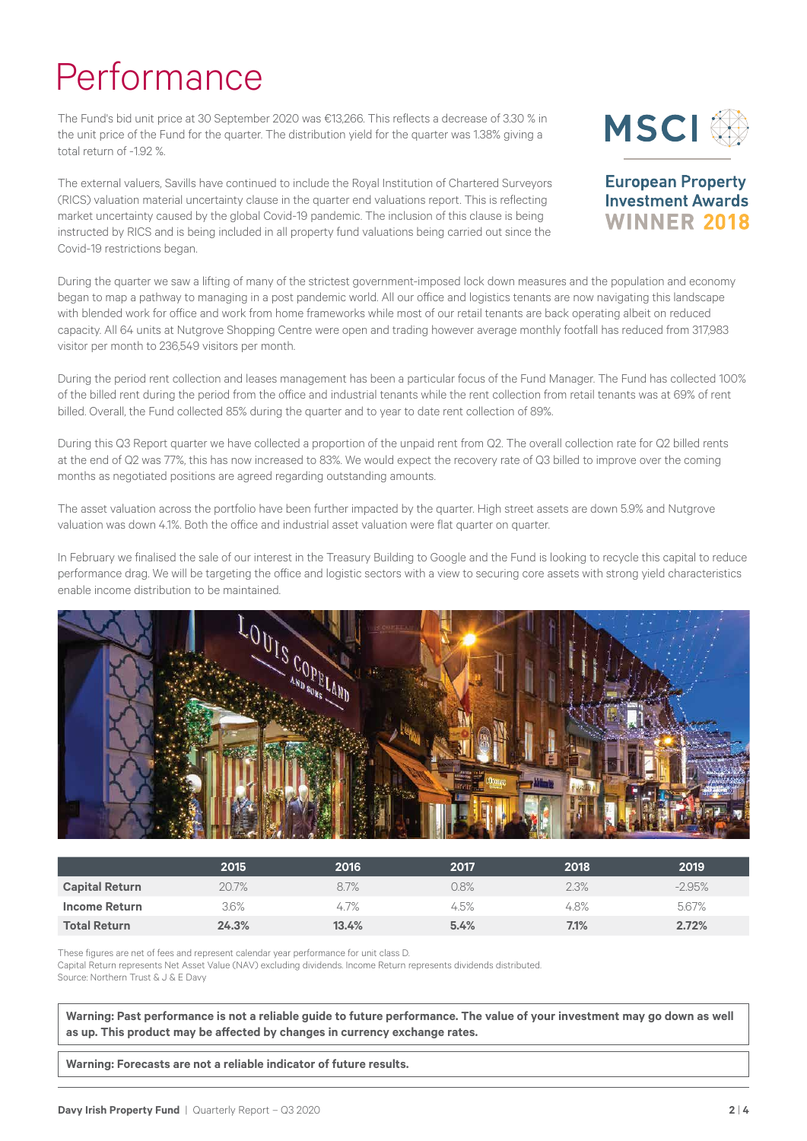## Performance

The Fund's bid unit price at 30 September 2020 was €13,266. This reflects a decrease of 3.30 % in the unit price of the Fund for the quarter. The distribution yield for the quarter was 1.38% giving a total return of -1.92 %.

The external valuers, Savills have continued to include the Royal Institution of Chartered Surveyors (RICS) valuation material uncertainty clause in the quarter end valuations report. This is reflecting market uncertainty caused by the global Covid-19 pandemic. The inclusion of this clause is being instructed by RICS and is being included in all property fund valuations being carried out since the Covid-19 restrictions began.



**European Property Investment Awards WINNER 2018** 

During the quarter we saw a lifting of many of the strictest government-imposed lock down measures and the population and economy began to map a pathway to managing in a post pandemic world. All our office and logistics tenants are now navigating this landscape with blended work for office and work from home frameworks while most of our retail tenants are back operating albeit on reduced capacity. All 64 units at Nutgrove Shopping Centre were open and trading however average monthly footfall has reduced from 317,983 visitor per month to 236,549 visitors per month.

During the period rent collection and leases management has been a particular focus of the Fund Manager. The Fund has collected 100% of the billed rent during the period from the office and industrial tenants while the rent collection from retail tenants was at 69% of rent billed. Overall, the Fund collected 85% during the quarter and to year to date rent collection of 89%.

During this Q3 Report quarter we have collected a proportion of the unpaid rent from Q2. The overall collection rate for Q2 billed rents at the end of Q2 was 77%, this has now increased to 83%. We would expect the recovery rate of Q3 billed to improve over the coming months as negotiated positions are agreed regarding outstanding amounts.

The asset valuation across the portfolio have been further impacted by the quarter. High street assets are down 5.9% and Nutgrove valuation was down 4.1%. Both the office and industrial asset valuation were flat quarter on quarter.

In February we finalised the sale of our interest in the Treasury Building to Google and the Fund is looking to recycle this capital to reduce performance drag. We will be targeting the office and logistic sectors with a view to securing core assets with strong yield characteristics enable income distribution to be maintained.



|                       | 2015    | 2016  | 2017 | 2018 | 2019     |
|-----------------------|---------|-------|------|------|----------|
| <b>Capital Return</b> | 20.7%   | 8.7%  | 0.8% | 2.3% | $-2.95%$ |
| Income Return         | $3.6\%$ | 4.7%  | 4.5% | 4.8% | 5.67%    |
| <b>Total Return</b>   | 24.3%   | 13.4% | 5.4% | 7.1% | 2.72%    |

These figures are net of fees and represent calendar year performance for unit class D. Capital Return represents Net Asset Value (NAV) excluding dividends. Income Return represents dividends distributed. Source: Northern Trust & J & E Davy

**Warning: Past performance is not a reliable guide to future performance. The value of your investment may go down as well as up. This product may be affected by changes in currency exchange rates.**

**Warning: Forecasts are not a reliable indicator of future results.**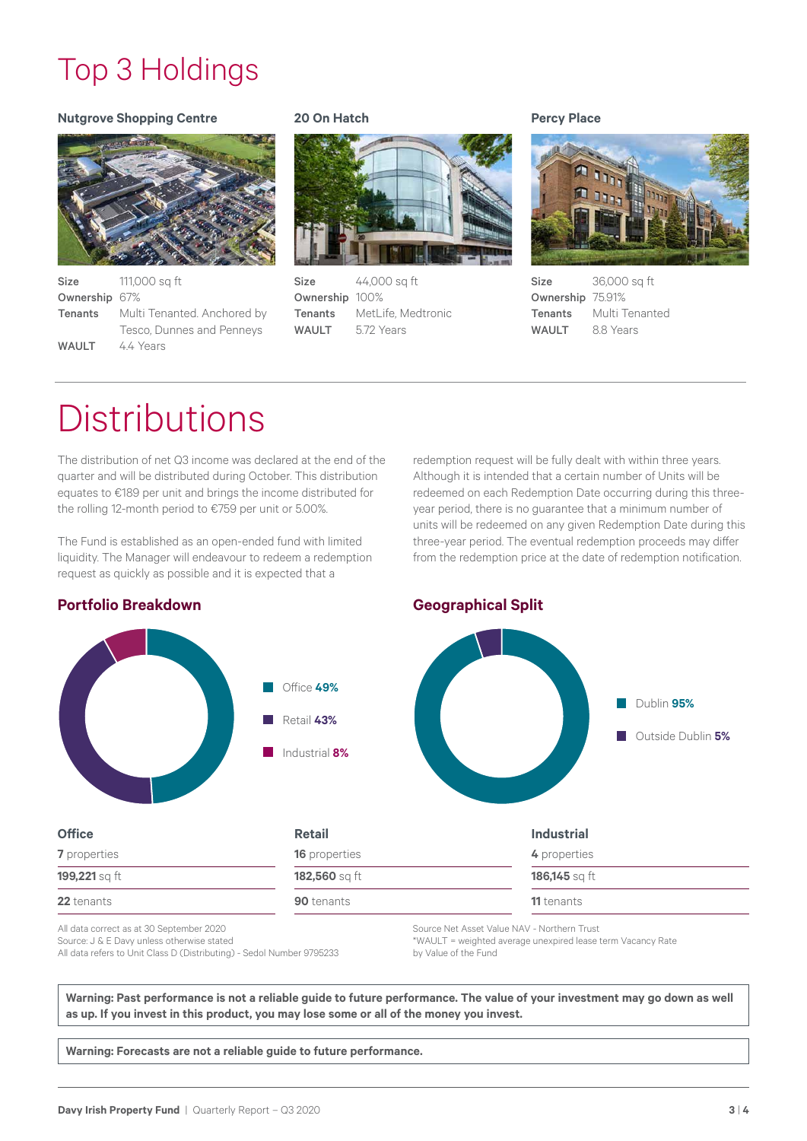### Top 3 Holdings

### **Nutgrove Shopping Centre**



| <b>Size</b>   | 111,000 sg ft                              |
|---------------|--------------------------------------------|
| Ownership 67% |                                            |
|               | <b>Tenants</b> Multi Tenanted. Anchored by |
|               | Tesco, Dunnes and Penneys                  |
| <b>WAULT</b>  | 4.4 Years                                  |

### **20 On Hatch**



Size 44,000 sq ft Ownership 100% Tenants MetLife, Medtronic WAULT 5.72 Years

### **Percy Place**



Size 36,000 sq ft Ownership 75.91% Tenants Multi Tenanted WAULT 8.8 Years

## **Distributions**

The distribution of net Q3 income was declared at the end of the quarter and will be distributed during October. This distribution equates to €189 per unit and brings the income distributed for the rolling 12-month period to €759 per unit or 5.00%.

The Fund is established as an open-ended fund with limited liquidity. The Manager will endeavour to redeem a redemption request as quickly as possible and it is expected that a

redemption request will be fully dealt with within three years. Although it is intended that a certain number of Units will be redeemed on each Redemption Date occurring during this threeyear period, there is no guarantee that a minimum number of units will be redeemed on any given Redemption Date during this three-year period. The eventual redemption proceeds may differ from the redemption price at the date of redemption notification.

Dublin **95%**

Outside Dublin **5%**

### **Portfolio Breakdown Geographical Split**



### **Retail**

| Retail               | <b>Industrial</b>             |  |
|----------------------|-------------------------------|--|
| <b>16</b> properties | 4 properties<br>186,145 sq ft |  |
| 182,560 sq ft        |                               |  |
| <b>90</b> tenants    | <b>11</b> tenants             |  |

All data correct as at 30 September 2020 Source: J & E Davy unless otherwise stated All data refers to Unit Class D (Distributing) - Sedol Number 9795233 Source Net Asset Value NAV - Northern Trust \*WAULT = weighted average unexpired lease term Vacancy Rate by Value of the Fund

**Warning: Past performance is not a reliable guide to future performance. The value of your investment may go down as well as up. If you invest in this product, you may lose some or all of the money you invest.**

**Warning: Forecasts are not a reliable guide to future performance.**

### **Office**

**Davy Irish Property Fund |** Quarterly Report – Q3 2020 **3** | 4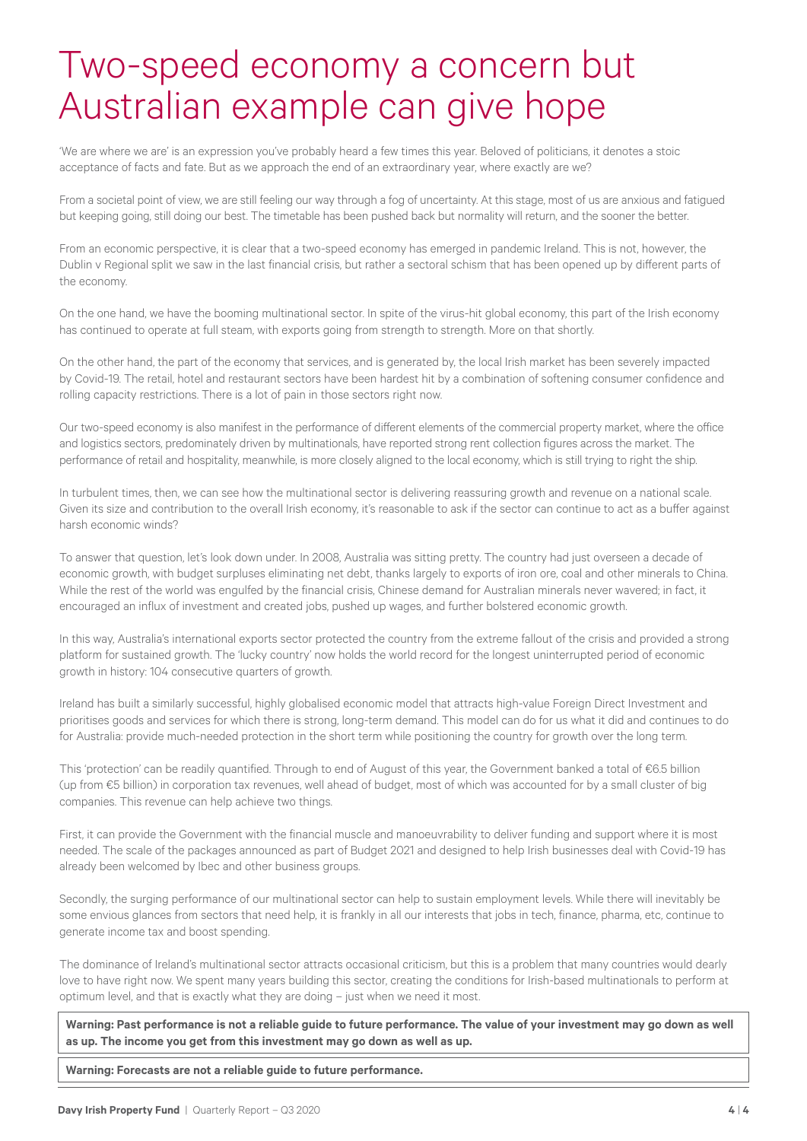## Two-speed economy a concern but Australian example can give hope

'We are where we are' is an expression you've probably heard a few times this year. Beloved of politicians, it denotes a stoic acceptance of facts and fate. But as we approach the end of an extraordinary year, where exactly are we?

From a societal point of view, we are still feeling our way through a fog of uncertainty. At this stage, most of us are anxious and fatigued but keeping going, still doing our best. The timetable has been pushed back but normality will return, and the sooner the better.

From an economic perspective, it is clear that a two-speed economy has emerged in pandemic Ireland. This is not, however, the Dublin v Regional split we saw in the last financial crisis, but rather a sectoral schism that has been opened up by different parts of the economy.

On the one hand, we have the booming multinational sector. In spite of the virus-hit global economy, this part of the Irish economy has continued to operate at full steam, with exports going from strength to strength. More on that shortly.

On the other hand, the part of the economy that services, and is generated by, the local Irish market has been severely impacted by Covid-19. The retail, hotel and restaurant sectors have been hardest hit by a combination of softening consumer confidence and rolling capacity restrictions. There is a lot of pain in those sectors right now.

Our two-speed economy is also manifest in the performance of different elements of the commercial property market, where the office and logistics sectors, predominately driven by multinationals, have reported strong rent collection figures across the market. The performance of retail and hospitality, meanwhile, is more closely aligned to the local economy, which is still trying to right the ship.

In turbulent times, then, we can see how the multinational sector is delivering reassuring growth and revenue on a national scale. Given its size and contribution to the overall Irish economy, it's reasonable to ask if the sector can continue to act as a buffer against harsh economic winds?

To answer that question, let's look down under. In 2008, Australia was sitting pretty. The country had just overseen a decade of economic growth, with budget surpluses eliminating net debt, thanks largely to exports of iron ore, coal and other minerals to China. While the rest of the world was engulfed by the financial crisis, Chinese demand for Australian minerals never wavered; in fact, it encouraged an influx of investment and created jobs, pushed up wages, and further bolstered economic growth.

In this way, Australia's international exports sector protected the country from the extreme fallout of the crisis and provided a strong platform for sustained growth. The 'lucky country' now holds the world record for the longest uninterrupted period of economic growth in history: 104 consecutive quarters of growth.

Ireland has built a similarly successful, highly globalised economic model that attracts high-value Foreign Direct Investment and prioritises goods and services for which there is strong, long-term demand. This model can do for us what it did and continues to do for Australia: provide much-needed protection in the short term while positioning the country for growth over the long term.

This 'protection' can be readily quantified. Through to end of August of this year, the Government banked a total of €6.5 billion (up from €5 billion) in corporation tax revenues, well ahead of budget, most of which was accounted for by a small cluster of big companies. This revenue can help achieve two things.

First, it can provide the Government with the financial muscle and manoeuvrability to deliver funding and support where it is most needed. The scale of the packages announced as part of Budget 2021 and designed to help Irish businesses deal with Covid-19 has already been welcomed by Ibec and other business groups.

Secondly, the surging performance of our multinational sector can help to sustain employment levels. While there will inevitably be some envious glances from sectors that need help, it is frankly in all our interests that jobs in tech, finance, pharma, etc, continue to generate income tax and boost spending.

The dominance of Ireland's multinational sector attracts occasional criticism, but this is a problem that many countries would dearly love to have right now. We spent many years building this sector, creating the conditions for Irish-based multinationals to perform at optimum level, and that is exactly what they are doing – just when we need it most.

**Warning: Past performance is not a reliable guide to future performance. The value of your investment may go down as well as up. The income you get from this investment may go down as well as up.**

**Warning: Forecasts are not a reliable guide to future performance.**